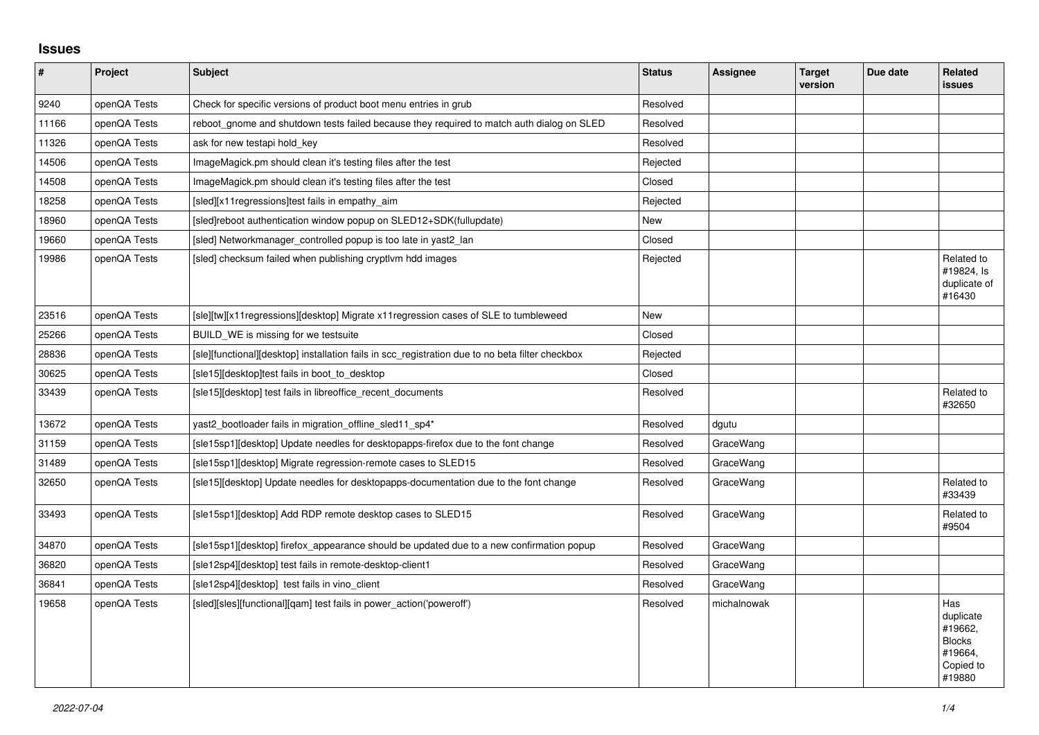## **Issues**

| $\pmb{\#}$ | Project      | <b>Subject</b>                                                                                   | <b>Status</b> | Assignee    | <b>Target</b><br>version | Due date | <b>Related</b><br><b>issues</b>                                                |
|------------|--------------|--------------------------------------------------------------------------------------------------|---------------|-------------|--------------------------|----------|--------------------------------------------------------------------------------|
| 9240       | openQA Tests | Check for specific versions of product boot menu entries in grub                                 | Resolved      |             |                          |          |                                                                                |
| 11166      | openQA Tests | reboot_gnome and shutdown tests failed because they required to match auth dialog on SLED        | Resolved      |             |                          |          |                                                                                |
| 11326      | openQA Tests | ask for new testapi hold key                                                                     | Resolved      |             |                          |          |                                                                                |
| 14506      | openQA Tests | ImageMagick.pm should clean it's testing files after the test                                    | Rejected      |             |                          |          |                                                                                |
| 14508      | openQA Tests | ImageMagick.pm should clean it's testing files after the test                                    | Closed        |             |                          |          |                                                                                |
| 18258      | openQA Tests | [sled][x11 regressions]test fails in empathy_aim                                                 | Rejected      |             |                          |          |                                                                                |
| 18960      | openQA Tests | [sled]reboot authentication window popup on SLED12+SDK(fullupdate)                               | New           |             |                          |          |                                                                                |
| 19660      | openQA Tests | [sled] Networkmanager_controlled popup is too late in yast2_lan                                  | Closed        |             |                          |          |                                                                                |
| 19986      | openQA Tests | [sled] checksum failed when publishing cryptivm hdd images                                       | Rejected      |             |                          |          | Related to<br>#19824, Is<br>duplicate of<br>#16430                             |
| 23516      | openQA Tests | [sle][tw][x11regressions][desktop] Migrate x11regression cases of SLE to tumbleweed              | New           |             |                          |          |                                                                                |
| 25266      | openQA Tests | BUILD WE is missing for we testsuite                                                             | Closed        |             |                          |          |                                                                                |
| 28836      | openQA Tests | [sle][functional][desktop] installation fails in scc_registration due to no beta filter checkbox | Rejected      |             |                          |          |                                                                                |
| 30625      | openQA Tests | [sle15][desktop]test fails in boot to desktop                                                    | Closed        |             |                          |          |                                                                                |
| 33439      | openQA Tests | [sle15][desktop] test fails in libreoffice_recent_documents                                      | Resolved      |             |                          |          | Related to<br>#32650                                                           |
| 13672      | openQA Tests | yast2_bootloader fails in migration_offline_sled11_sp4*                                          | Resolved      | dgutu       |                          |          |                                                                                |
| 31159      | openQA Tests | [sle15sp1][desktop] Update needles for desktopapps-firefox due to the font change                | Resolved      | GraceWang   |                          |          |                                                                                |
| 31489      | openQA Tests | [sle15sp1][desktop] Migrate regression-remote cases to SLED15                                    | Resolved      | GraceWang   |                          |          |                                                                                |
| 32650      | openQA Tests | [sle15][desktop] Update needles for desktopapps-documentation due to the font change             | Resolved      | GraceWang   |                          |          | Related to<br>#33439                                                           |
| 33493      | openQA Tests | [sle15sp1][desktop] Add RDP remote desktop cases to SLED15                                       | Resolved      | GraceWang   |                          |          | Related to<br>#9504                                                            |
| 34870      | openQA Tests | [sle15sp1][desktop] firefox appearance should be updated due to a new confirmation popup         | Resolved      | GraceWang   |                          |          |                                                                                |
| 36820      | openQA Tests | [sle12sp4][desktop] test fails in remote-desktop-client1                                         | Resolved      | GraceWang   |                          |          |                                                                                |
| 36841      | openQA Tests | [sle12sp4][desktop] test fails in vino client                                                    | Resolved      | GraceWang   |                          |          |                                                                                |
| 19658      | openQA Tests | [sled][sles][functional][qam] test fails in power_action('poweroff')                             | Resolved      | michalnowak |                          |          | Has<br>duplicate<br>#19662.<br><b>Blocks</b><br>#19664,<br>Copied to<br>#19880 |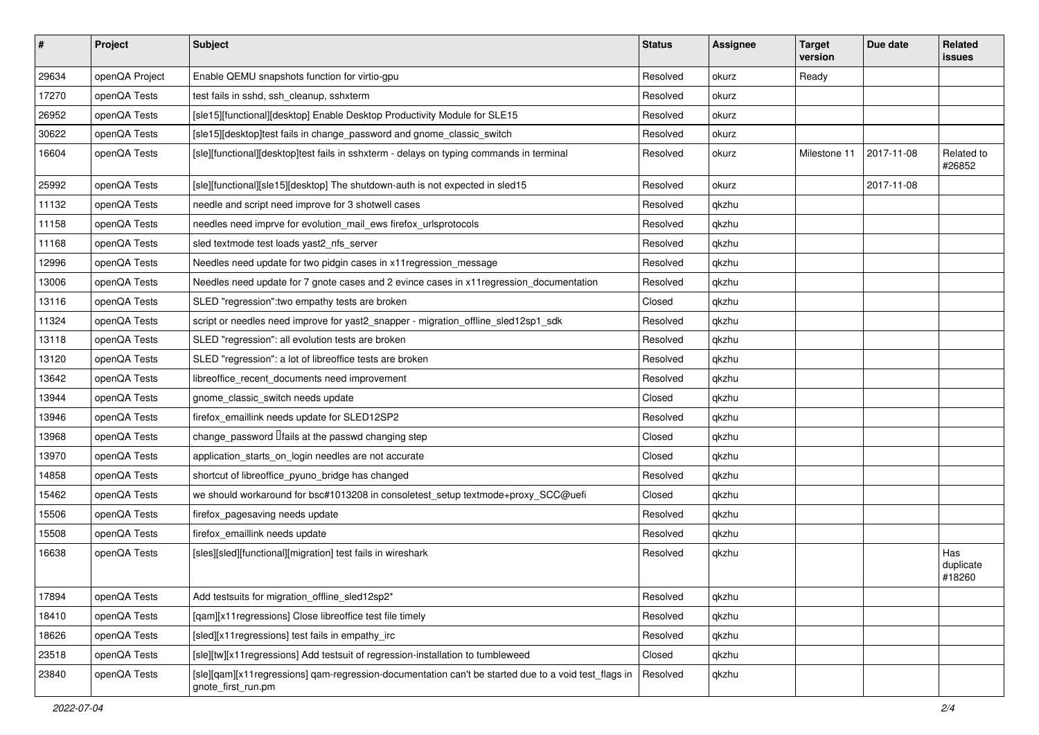| $\vert$ # | Project        | <b>Subject</b>                                                                                                             | <b>Status</b> | <b>Assignee</b> | <b>Target</b><br>version | Due date   | Related<br><b>issues</b>   |
|-----------|----------------|----------------------------------------------------------------------------------------------------------------------------|---------------|-----------------|--------------------------|------------|----------------------------|
| 29634     | openQA Project | Enable QEMU snapshots function for virtio-gpu                                                                              | Resolved      | okurz           | Ready                    |            |                            |
| 17270     | openQA Tests   | test fails in sshd, ssh_cleanup, sshxterm                                                                                  | Resolved      | okurz           |                          |            |                            |
| 26952     | openQA Tests   | [sle15][functional][desktop] Enable Desktop Productivity Module for SLE15                                                  | Resolved      | okurz           |                          |            |                            |
| 30622     | openQA Tests   | [sle15][desktop]test fails in change_password and gnome_classic_switch                                                     | Resolved      | okurz           |                          |            |                            |
| 16604     | openQA Tests   | [sle][functional][desktop]test fails in sshxterm - delays on typing commands in terminal                                   | Resolved      | okurz           | Milestone 11             | 2017-11-08 | Related to<br>#26852       |
| 25992     | openQA Tests   | [sle][functional][sle15][desktop] The shutdown-auth is not expected in sled15                                              | Resolved      | okurz           |                          | 2017-11-08 |                            |
| 11132     | openQA Tests   | needle and script need improve for 3 shotwell cases                                                                        | Resolved      | qkzhu           |                          |            |                            |
| 11158     | openQA Tests   | needles need imprve for evolution_mail_ews firefox_urlsprotocols                                                           | Resolved      | qkzhu           |                          |            |                            |
| 11168     | openQA Tests   | sled textmode test loads yast2_nfs_server                                                                                  | Resolved      | qkzhu           |                          |            |                            |
| 12996     | openQA Tests   | Needles need update for two pidgin cases in x11 regression_message                                                         | Resolved      | qkzhu           |                          |            |                            |
| 13006     | openQA Tests   | Needles need update for 7 gnote cases and 2 evince cases in x11 regression_documentation                                   | Resolved      | qkzhu           |                          |            |                            |
| 13116     | openQA Tests   | SLED "regression": two empathy tests are broken                                                                            | Closed        | qkzhu           |                          |            |                            |
| 11324     | openQA Tests   | script or needles need improve for yast2_snapper - migration_offline_sled12sp1_sdk                                         | Resolved      | qkzhu           |                          |            |                            |
| 13118     | openQA Tests   | SLED "regression": all evolution tests are broken                                                                          | Resolved      | qkzhu           |                          |            |                            |
| 13120     | openQA Tests   | SLED "regression": a lot of libreoffice tests are broken                                                                   | Resolved      | qkzhu           |                          |            |                            |
| 13642     | openQA Tests   | libreoffice_recent_documents need improvement                                                                              | Resolved      | qkzhu           |                          |            |                            |
| 13944     | openQA Tests   | gnome classic switch needs update                                                                                          | Closed        | qkzhu           |                          |            |                            |
| 13946     | openQA Tests   | firefox_emaillink needs update for SLED12SP2                                                                               | Resolved      | qkzhu           |                          |            |                            |
| 13968     | openQA Tests   | change_password <i>liails</i> at the passwd changing step                                                                  | Closed        | qkzhu           |                          |            |                            |
| 13970     | openQA Tests   | application_starts_on_login needles are not accurate                                                                       | Closed        | qkzhu           |                          |            |                            |
| 14858     | openQA Tests   | shortcut of libreoffice_pyuno_bridge has changed                                                                           | Resolved      | qkzhu           |                          |            |                            |
| 15462     | openQA Tests   | we should workaround for bsc#1013208 in consoletest_setup textmode+proxy_SCC@uefi                                          | Closed        | qkzhu           |                          |            |                            |
| 15506     | openQA Tests   | firefox_pagesaving needs update                                                                                            | Resolved      | qkzhu           |                          |            |                            |
| 15508     | openQA Tests   | firefox_emaillink needs update                                                                                             | Resolved      | qkzhu           |                          |            |                            |
| 16638     | openQA Tests   | [sles][sled][functional][migration] test fails in wireshark                                                                | Resolved      | qkzhu           |                          |            | Has<br>duplicate<br>#18260 |
| 17894     | openQA Tests   | Add testsuits for migration_offline_sled12sp2*                                                                             | Resolved      | qkzhu           |                          |            |                            |
| 18410     | openQA Tests   | [qam][x11regressions] Close libreoffice test file timely                                                                   | Resolved      | qkzhu           |                          |            |                            |
| 18626     | openQA Tests   | [sled][x11regressions] test fails in empathy_irc                                                                           | Resolved      | qkzhu           |                          |            |                            |
| 23518     | openQA Tests   | [sle][tw][x11regressions] Add testsuit of regression-installation to tumbleweed                                            | Closed        | qkzhu           |                          |            |                            |
| 23840     | openQA Tests   | [sle][qam][x11regressions] qam-regression-documentation can't be started due to a void test_flags in<br>gnote_first_run.pm | Resolved      | qkzhu           |                          |            |                            |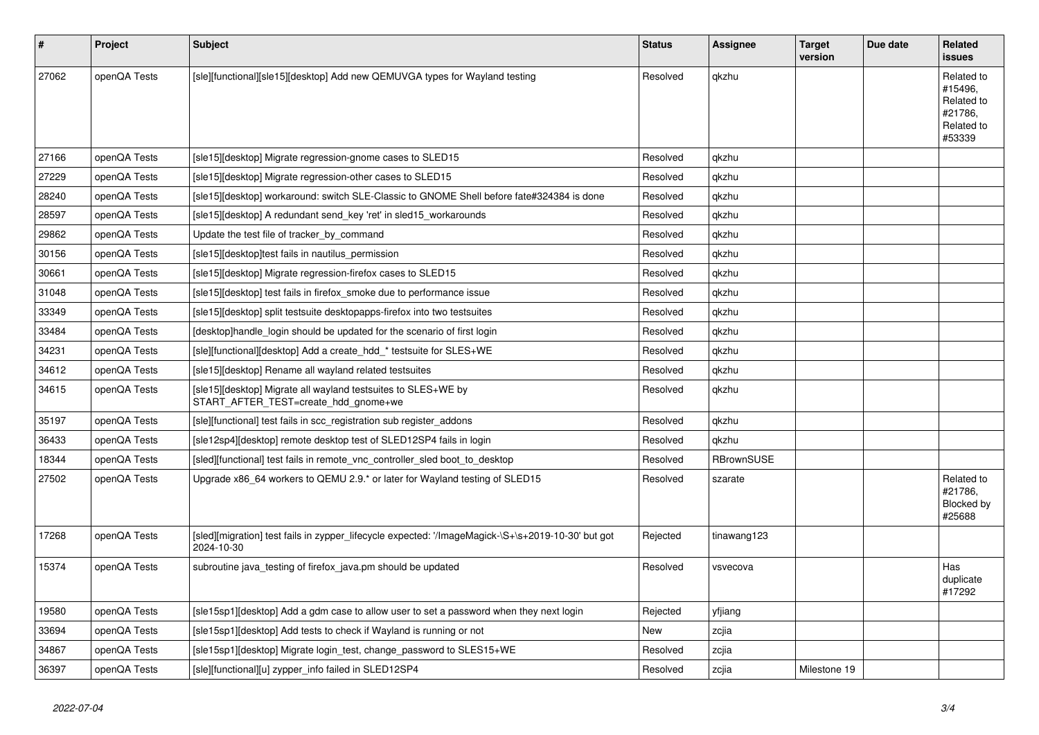| #     | Project      | <b>Subject</b>                                                                                                   | <b>Status</b> | Assignee          | <b>Target</b><br>version | Due date | Related<br><b>issues</b>                                               |
|-------|--------------|------------------------------------------------------------------------------------------------------------------|---------------|-------------------|--------------------------|----------|------------------------------------------------------------------------|
| 27062 | openQA Tests | [sle][functional][sle15][desktop] Add new QEMUVGA types for Wayland testing                                      | Resolved      | qkzhu             |                          |          | Related to<br>#15496,<br>Related to<br>#21786.<br>Related to<br>#53339 |
| 27166 | openQA Tests | [sle15][desktop] Migrate regression-gnome cases to SLED15                                                        | Resolved      | qkzhu             |                          |          |                                                                        |
| 27229 | openQA Tests | [sle15][desktop] Migrate regression-other cases to SLED15                                                        | Resolved      | qkzhu             |                          |          |                                                                        |
| 28240 | openQA Tests | [sle15][desktop] workaround: switch SLE-Classic to GNOME Shell before fate#324384 is done                        | Resolved      | qkzhu             |                          |          |                                                                        |
| 28597 | openQA Tests | [sle15][desktop] A redundant send key 'ret' in sled15 workarounds                                                | Resolved      | qkzhu             |                          |          |                                                                        |
| 29862 | openQA Tests | Update the test file of tracker by command                                                                       | Resolved      | qkzhu             |                          |          |                                                                        |
| 30156 | openQA Tests | [sle15][desktop]test fails in nautilus_permission                                                                | Resolved      | qkzhu             |                          |          |                                                                        |
| 30661 | openQA Tests | [sle15][desktop] Migrate regression-firefox cases to SLED15                                                      | Resolved      | qkzhu             |                          |          |                                                                        |
| 31048 | openQA Tests | [sle15][desktop] test fails in firefox smoke due to performance issue                                            | Resolved      | qkzhu             |                          |          |                                                                        |
| 33349 | openQA Tests | [sle15][desktop] split testsuite desktopapps-firefox into two testsuites                                         | Resolved      | qkzhu             |                          |          |                                                                        |
| 33484 | openQA Tests | desktop]handle login should be updated for the scenario of first login                                           | Resolved      | qkzhu             |                          |          |                                                                        |
| 34231 | openQA Tests | [sle][functional][desktop] Add a create_hdd_* testsuite for SLES+WE                                              | Resolved      | qkzhu             |                          |          |                                                                        |
| 34612 | openQA Tests | [sle15][desktop] Rename all wayland related testsuites                                                           | Resolved      | qkzhu             |                          |          |                                                                        |
| 34615 | openQA Tests | [sle15][desktop] Migrate all wayland testsuites to SLES+WE by<br>START AFTER TEST=create hdd gnome+we            | Resolved      | qkzhu             |                          |          |                                                                        |
| 35197 | openQA Tests | [sle][functional] test fails in scc registration sub register addons                                             | Resolved      | qkzhu             |                          |          |                                                                        |
| 36433 | openQA Tests | [sle12sp4][desktop] remote desktop test of SLED12SP4 fails in login                                              | Resolved      | qkzhu             |                          |          |                                                                        |
| 18344 | openQA Tests | [sled][functional] test fails in remote_vnc_controller_sled boot_to_desktop                                      | Resolved      | <b>RBrownSUSE</b> |                          |          |                                                                        |
| 27502 | openQA Tests | Upgrade x86_64 workers to QEMU 2.9.* or later for Wayland testing of SLED15                                      | Resolved      | szarate           |                          |          | Related to<br>#21786,<br>Blocked by<br>#25688                          |
| 17268 | openQA Tests | [sled][migration] test fails in zypper_lifecycle expected: '/ImageMagick-\S+\s+2019-10-30' but got<br>2024-10-30 | Rejected      | tinawang123       |                          |          |                                                                        |
| 15374 | openQA Tests | subroutine java_testing of firefox_java.pm should be updated                                                     | Resolved      | vsvecova          |                          |          | Has<br>duplicate<br>#17292                                             |
| 19580 | openQA Tests | [sle15sp1][desktop] Add a gdm case to allow user to set a password when they next login                          | Rejected      | yfjiang           |                          |          |                                                                        |
| 33694 | openQA Tests | [sle15sp1][desktop] Add tests to check if Wayland is running or not                                              | New           | zcjia             |                          |          |                                                                        |
| 34867 | openQA Tests | [sle15sp1][desktop] Migrate login_test, change_password to SLES15+WE                                             | Resolved      | zcjia             |                          |          |                                                                        |
| 36397 | openQA Tests | [sle][functional][u] zypper_info failed in SLED12SP4                                                             | Resolved      | zcjia             | Milestone 19             |          |                                                                        |